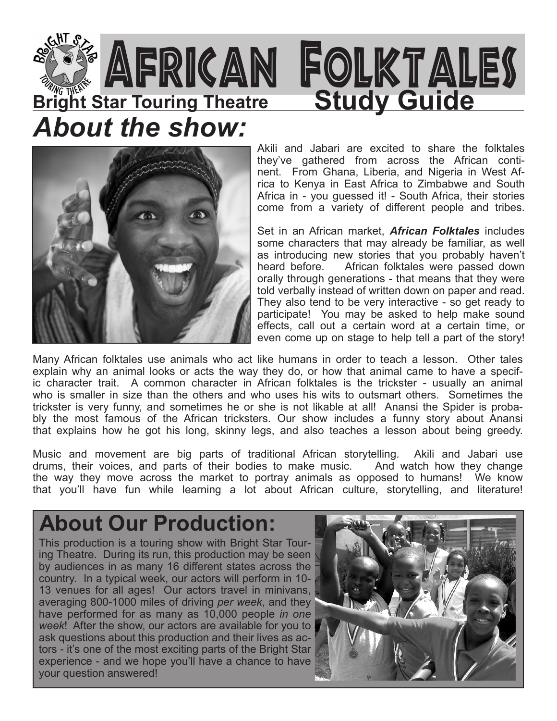



Akili and Jabari are excited to share the folktales they've gathered from across the African continent. From Ghana, Liberia, and Nigeria in West Africa to Kenya in East Africa to Zimbabwe and South Africa in - you guessed it! - South Africa, their stories come from a variety of different people and tribes.

Set in an African market, *African Folktales* includes some characters that may already be familiar, as well as introducing new stories that you probably haven't heard before. African folktales were passed down orally through generations - that means that they were told verbally instead of written down on paper and read. They also tend to be very interactive - so get ready to participate! You may be asked to help make sound effects, call out a certain word at a certain time, or even come up on stage to help tell a part of the story!

Many African folktales use animals who act like humans in order to teach a lesson. Other tales explain why an animal looks or acts the way they do, or how that animal came to have a specific character trait. A common character in African folktales is the trickster - usually an animal who is smaller in size than the others and who uses his wits to outsmart others. Sometimes the trickster is very funny, and sometimes he or she is not likable at all! Anansi the Spider is probably the most famous of the African tricksters. Our show includes a funny story about Anansi that explains how he got his long, skinny legs, and also teaches a lesson about being greedy.

Music and movement are big parts of traditional African storytelling. Akili and Jabari use drums, their voices, and parts of their bodies to make music. And watch how they change the way they move across the market to portray animals as opposed to humans! We know that you'll have fun while learning a lot about African culture, storytelling, and literature!

### **About Our Production:**

This production is a touring show with Bright Star Touring Theatre. During its run, this production may be seen by audiences in as many 16 different states across the country. In a typical week, our actors will perform in 10- 13 venues for all ages! Our actors travel in minivans, averaging 800-1000 miles of driving *per week*, and they have performed for as many as 10,000 people *in one week*! After the show, our actors are available for you to ask questions about this production and their lives as actors - it's one of the most exciting parts of the Bright Star experience - and we hope you'll have a chance to have your question answered!

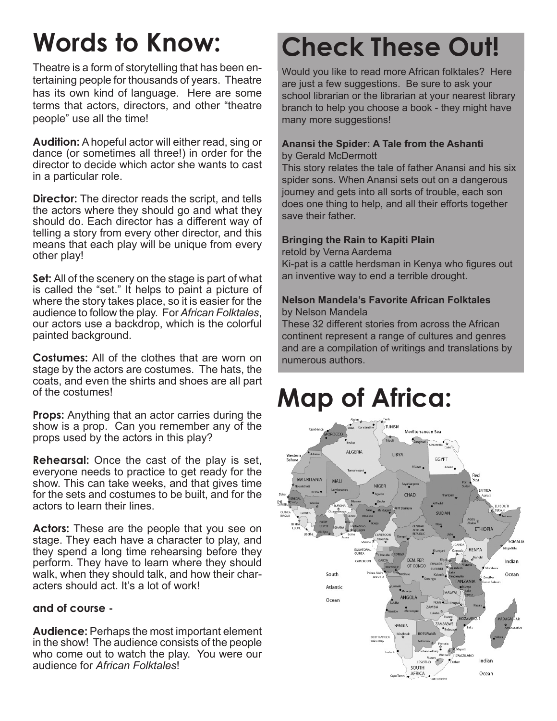Theatre is a form of storytelling that has been entertaining people for thousands of years. Theatre has its own kind of language. Here are some terms that actors, directors, and other "theatre people" use all the time!

**Audition:** A hopeful actor will either read, sing or dance (or sometimes all three!) in order for the director to decide which actor she wants to cast in a particular role.

**Director:** The director reads the script, and tells the actors where they should go and what they should do. Each director has a different way of telling a story from every other director, and this means that each play will be unique from every other play!

**Set:** All of the scenery on the stage is part of what is called the "set." It helps to paint a picture of where the story takes place, so it is easier for the audience to follow the play. For *African Folktales*, our actors use a backdrop, which is the colorful painted background.

**Costumes:** All of the clothes that are worn on stage by the actors are costumes. The hats, the coats, and even the shirts and shoes are all part of the costumes!

**Props:** Anything that an actor carries during the show is a prop. Can you remember any of the props used by the actors in this play?

**Rehearsal:** Once the cast of the play is set, everyone needs to practice to get ready for the show. This can take weeks, and that gives time for the sets and costumes to be built, and for the actors to learn their lines.

**Actors:** These are the people that you see on stage. They each have a character to play, and they spend a long time rehearsing before they perform. They have to learn where they should walk, when they should talk, and how their characters should act. It's a lot of work!

#### **and of course -**

**Audience:** Perhaps the most important element in the show! The audience consists of the people who come out to watch the play. You were our audience for *African Folktales*!

### **Words to Know: Check These Out!**

Would you like to read more African folktales? Here are just a few suggestions. Be sure to ask your school librarian or the librarian at your nearest library branch to help you choose a book - they might have many more suggestions!

#### **Anansi the Spider: A Tale from the Ashanti** by Gerald McDermott

This story relates the tale of father Anansi and his six spider sons. When Anansi sets out on a dangerous journey and gets into all sorts of trouble, each son does one thing to help, and all their efforts together save their father.

#### **Bringing the Rain to Kapiti Plain**

retold by Verna Aardema

Ki-pat is a cattle herdsman in Kenya who figures out an inventive way to end a terrible drought.

#### **Nelson Mandela's Favorite African Folktales** by Nelson Mandela

These 32 different stories from across the African continent represent a range of cultures and genres and are a compilation of writings and translations by numerous authors.

### **Map of Africa:**

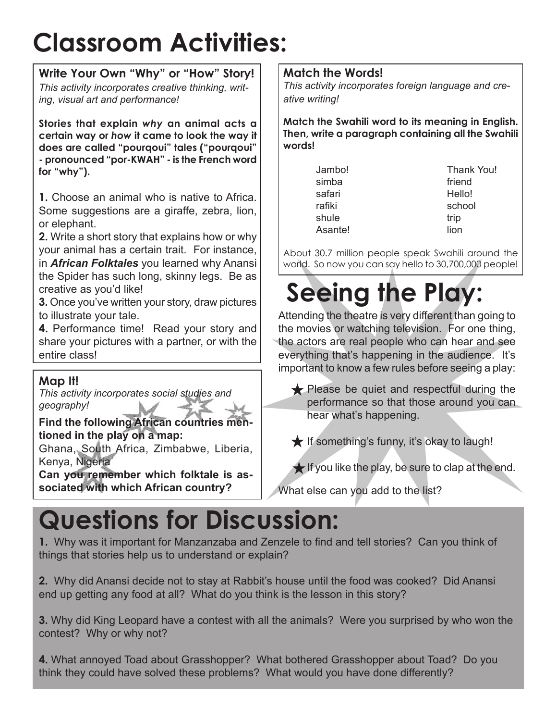### **Classroom Activities:**

**Write Your Own "Why" or "How" Story!** *This activity incorporates creative thinking, writing, visual art and performance!*

**Stories that explain** *why* **an animal acts a certain way or** *how* **it came to look the way it does are called "pourqoui" tales ("pourqoui" - pronounced "por-KWAH" - is the French word for "why").**

**1.** Choose an animal who is native to Africa. Some suggestions are a giraffe, zebra, lion, or elephant.

**2.** Write a short story that explains how or why your animal has a certain trait. For instance, in *African Folktales* you learned why Anansi the Spider has such long, skinny legs. Be as creative as you'd like!

**3.** Once you've written your story, draw pictures to illustrate your tale.

**4.** Performance time! Read your story and share your pictures with a partner, or with the entire class!

### **Map It!**

*This activity incorporates social studies and geography!*

**Find the following African countries mentioned in the play on a map:**

Ghana, South Africa, Zimbabwe, Liberia, Kenya, Nigeria

**Can you remember which folktale is associated with which African country?**

#### **Match the Words!**

*This activity incorporates foreign language and creative writing!*

**Match the Swahili word to its meaning in English. Then, write a paragraph containing all the Swahili words!**

> simba friend safari Hello! rafiki school shule trip Asante! lion

Jambo! Thank You!

About 30.7 million people speak Swahili around the world. So now you can say hello to 30,700,000 people!

## **Seeing the Play:**

Attending the theatre is very different than going to the movies or watching television. For one thing, the actors are real people who can hear and see everything that's happening in the audience. It's important to know a few rules before seeing a play:

Please be quiet and respectful during the performance so that those around you can hear what's happening.

 $\bigstar$  If something's funny, it's okay to laugh!

 $\bigstar$  If you like the play, be sure to clap at the end.

What else can you add to the list?

### **Questions for Discussion:**

**1.** Why was it important for Manzanzaba and Zenzele to find and tell stories? Can you think of things that stories help us to understand or explain?

**2.** Why did Anansi decide not to stay at Rabbit's house until the food was cooked? Did Anansi end up getting any food at all? What do you think is the lesson in this story?

**3.** Why did King Leopard have a contest with all the animals? Were you surprised by who won the contest? Why or why not?

**4.** What annoyed Toad about Grasshopper? What bothered Grasshopper about Toad? Do you think they could have solved these problems? What would you have done differently?